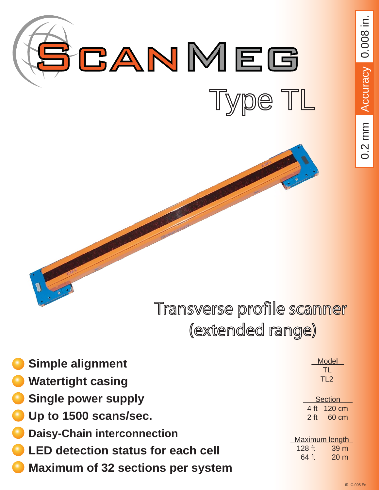

0.2 mm Accuracy 0.008 in. 0.2 mm Accuracy 0.008 in.

# Transverse profile scanner (extended range)

| <b>Simple alignment</b>                   |                 | <b>Model</b><br><b>TL</b> |  |
|-------------------------------------------|-----------------|---------------------------|--|
| <b>Watertight casing</b>                  |                 | TL <sub>2</sub>           |  |
| <b>Single power supply</b>                |                 | <b>Section</b>            |  |
| Up to 1500 scans/sec.                     | $2$ ft          | 4 ft 120 cm<br>60 cm      |  |
| <b>Daisy-Chain interconnection</b>        |                 | Maximum length            |  |
| <b>LED detection status for each cell</b> | 128 ft<br>64 ft | 39 m<br>20 <sub>m</sub>   |  |
| <b>Maximum of 32 sections per system</b>  |                 |                           |  |